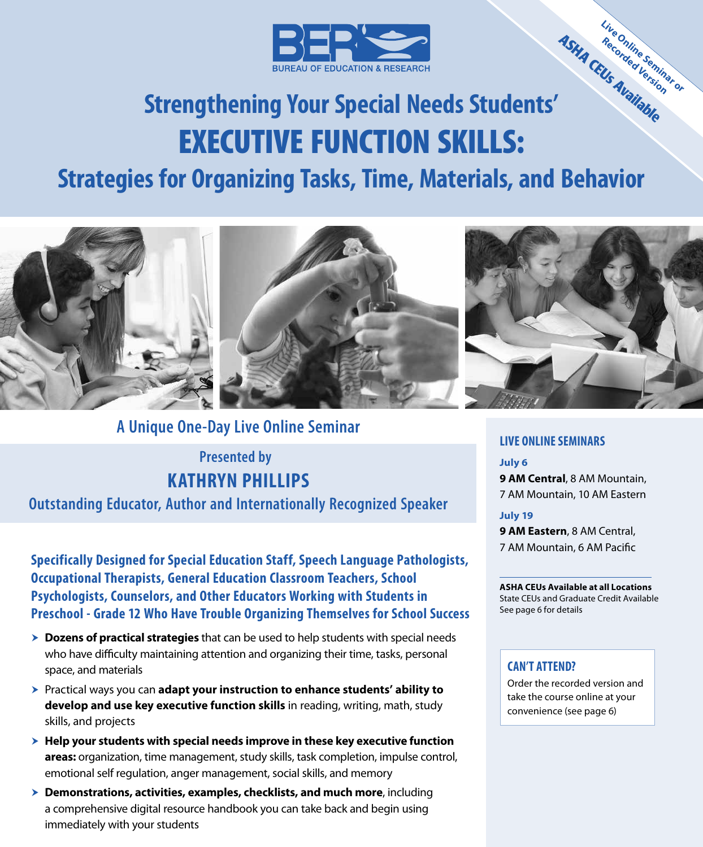

# **Strengthening Your Special Needs Students'** EXECUTIVE FUNCTION SKILLS: **ASHA CEUs Available**

# **Strategies for Organizing Tasks, Time, Materials, and Behavior**



### **A Unique One-Day Live Online Seminar**

# **KATHRYN PHILLIPS Presented by**

### **Outstanding Educator, Author and Internationally Recognized Speaker**

**Specifically Designed for Special Education Staff, Speech Language Pathologists, Occupational Therapists, General Education Classroom Teachers, School Psychologists, Counselors, and Other Educators Working with Students in Preschool - Grade 12 Who Have Trouble Organizing Themselves for School Success**

- **Dozens of practical strategies** that can be used to help students with special needs who have difficulty maintaining attention and organizing their time, tasks, personal space, and materials
- ▶ Practical ways you can **adapt your instruction to enhance students' ability to develop and use key executive function skills** in reading, writing, math, study skills, and projects
- h **Help your students with special needs improve in these key executive function areas:** organization, time management, study skills, task completion, impulse control, emotional self regulation, anger management, social skills, and memory
- **EXED EXEDENT DEMONSTER DEMONSTER DEMONSTRATIONS DEMONSTRATIONS DEMONSTRATIONS DEMONSTRATIONS DEMONSTRATIONS** a comprehensive digital resource handbook you can take back and begin using immediately with your students

#### **LIVE ONLINE SEMINARS**

#### **July 6**

**9 AM Central**, 8 AM Mountain, 7 AM Mountain, 10 AM Eastern

**Live Online Seminar or Recorded Version**

#### **July 19**

**9 AM Eastern**, 8 AM Central, 7 AM Mountain, 6 AM Pacific

#### **ASHA CEUs Available at all Locations**

State CEUs and Graduate Credit Available See page 6 for details

#### **CAN'T ATTEND?**

Order the recorded version and take the course online at your convenience (see page 6)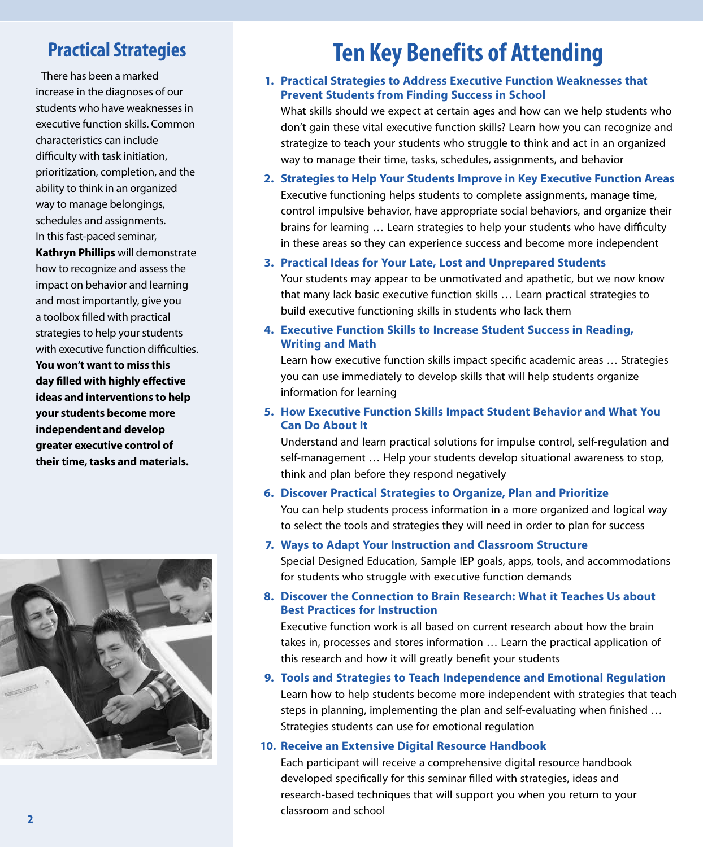## **Practical Strategies**

There has been a marked increase in the diagnoses of our students who have weaknesses in executive function skills. Common characteristics can include difficulty with task initiation, prioritization, completion, and the ability to think in an organized way to manage belongings, schedules and assignments. In this fast‑paced seminar,

**Kathryn Phillips** will demonstrate how to recognize and assess the impact on behavior and learning and most importantly, give you a toolbox filled with practical strategies to help your students with executive function difficulties. **You won't want to miss this day filled with highly effective ideas and interventions to help your students become more independent and develop greater executive control of their time, tasks and materials.**



# **Ten Key Benefits of Attending**

**1. Practical Strategies to Address Executive Function Weaknesses that Prevent Students from Finding Success in School**

What skills should we expect at certain ages and how can we help students who don't gain these vital executive function skills? Learn how you can recognize and strategize to teach your students who struggle to think and act in an organized way to manage their time, tasks, schedules, assignments, and behavior

- **2. Strategies to Help Your Students Improve in Key Executive Function Areas** Executive functioning helps students to complete assignments, manage time, control impulsive behavior, have appropriate social behaviors, and organize their brains for learning … Learn strategies to help your students who have difficulty in these areas so they can experience success and become more independent
- **3. Practical Ideas for Your Late, Lost and Unprepared Students** Your students may appear to be unmotivated and apathetic, but we now know that many lack basic executive function skills … Learn practical strategies to build executive functioning skills in students who lack them
- **4. Executive Function Skills to Increase Student Success in Reading, Writing and Math**

Learn how executive function skills impact specific academic areas … Strategies you can use immediately to develop skills that will help students organize information for learning

**5. How Executive Function Skills Impact Student Behavior and What You Can Do About It**

Understand and learn practical solutions for impulse control, self‑regulation and self-management ... Help your students develop situational awareness to stop, think and plan before they respond negatively

**6. Discover Practical Strategies to Organize, Plan and Prioritize**

You can help students process information in a more organized and logical way to select the tools and strategies they will need in order to plan for success

**7. Ways to Adapt Your Instruction and Classroom Structure**

Special Designed Education, Sample IEP goals, apps, tools, and accommodations for students who struggle with executive function demands

**8. Discover the Connection to Brain Research: What it Teaches Us about Best Practices for Instruction**

Executive function work is all based on current research about how the brain takes in, processes and stores information … Learn the practical application of this research and how it will greatly benefit your students

**9. Tools and Strategies to Teach Independence and Emotional Regulation** Learn how to help students become more independent with strategies that teach steps in planning, implementing the plan and self‑evaluating when finished … Strategies students can use for emotional regulation

### **10. Receive an Extensive Digital Resource Handbook**

Each participant will receive a comprehensive digital resource handbook developed specifically for this seminar filled with strategies, ideas and research-based techniques that will support you when you return to your classroom and school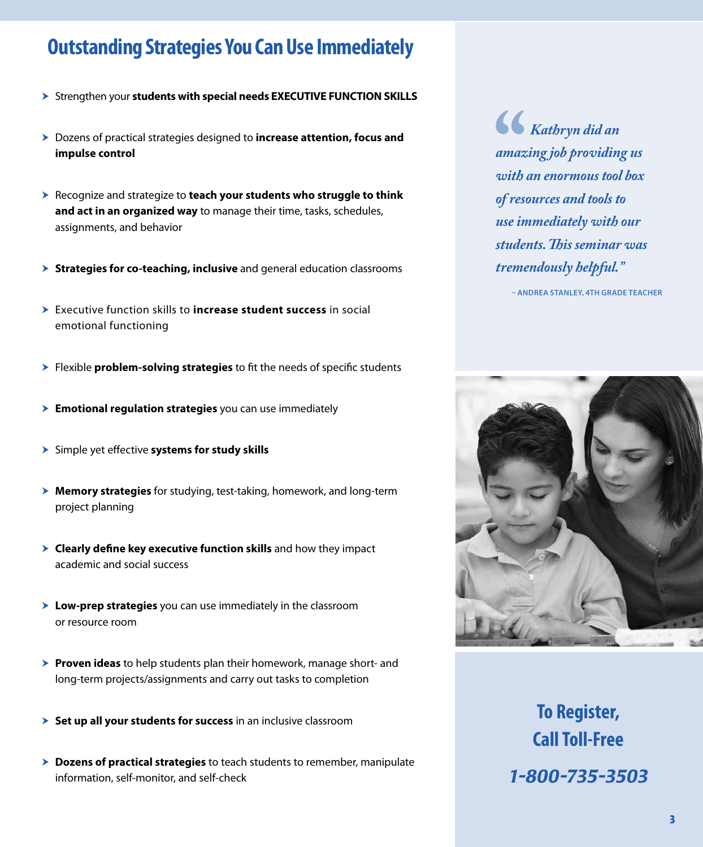# **Outstanding Strategies You Can Use Immediately**

- > Strengthen your students with special needs EXECUTIVE FUNCTION SKILLS
- **h** Dozens of practical strategies designed to **increase attention, focus and impulse control**
- h Recognize and strategize to **teach your students who struggle to think and act in an organized way** to manage their time, tasks, schedules, assignments, and behavior
- **▶ Strategies for co-teaching, inclusive** and general education classrooms
- **h** Executive function skills to **increase student success** in social emotional functioning
- **► Flexible problem-solving strategies** to fit the needs of specific students
- **Emotional regulation strategies** you can use immediately
- **>** Simple yet effective **systems for study skills**
- **▶ Memory strategies** for studying, test-taking, homework, and long-term project planning
- $\triangleright$  **Clearly define key executive function skills** and how they impact academic and social success
- **▶ Low-prep strategies** you can use immediately in the classroom or resource room
- **► Proven ideas** to help students plan their homework, manage short- and long-term projects/assignments and carry out tasks to completion
- **> Set up all your students for success** in an inclusive classroom
- $\triangleright$  **Dozens of practical strategies** to teach students to remember, manipulate information, self-monitor, and self-check

*Kathryn did an amazing job providing us with an enormous tool box of resources and tools to use immediately with our students. This seminar was tremendously helpful."*

**– ANDREA STANLEY, 4TH GRADE TEACHER**



**To Register, Call Toll-Free** *1-800-735-3503*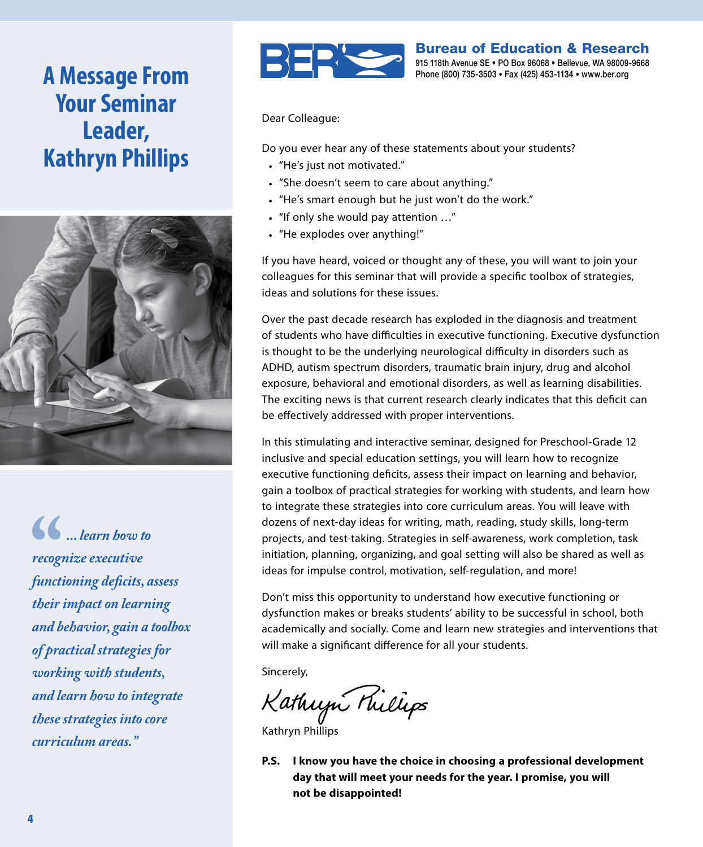# **A Message From Your Seminar Leader, Kathryn Phillips**



*... learn how to recognize executive functioning deficits, assess their impact on learning and behavior, gain a toolbox of practical strategies for working with students, and learn how to integrate these strategies into core curriculum areas."*



Bureau of Education & Research 915 118th Avenue SE • PO Box 96068 • Bellevue, WA 98009-9668 Phone (800) 735-3503 • Fax (425) 453-1134 • www.ber.org

Dear Colleague:

Do you ever hear any of these statements about your students?

- "He's just not motivated."
- "She doesn't seem to care about anything."
- "He's smart enough but he just won't do the work."
- "If only she would pay attention …"
- "He explodes over anything!"

If you have heard, voiced or thought any of these, you will want to join your colleagues for this seminar that will provide a specific toolbox of strategies, ideas and solutions for these issues.

Over the past decade research has exploded in the diagnosis and treatment of students who have difficulties in executive functioning. Executive dysfunction is thought to be the underlying neurological difficulty in disorders such as ADHD, autism spectrum disorders, traumatic brain injury, drug and alcohol exposure, behavioral and emotional disorders, as well as learning disabilities. The exciting news is that current research clearly indicates that this deficit can be effectively addressed with proper interventions.

In this stimulating and interactive seminar, designed for Preschool‑Grade 12 inclusive and special education settings, you will learn how to recognize executive functioning deficits, assess their impact on learning and behavior, gain a toolbox of practical strategies for working with students, and learn how to integrate these strategies into core curriculum areas. You will leave with dozens of next-day ideas for writing, math, reading, study skills, long-term projects, and test‑taking. Strategies in self‑awareness, work completion, task initiation, planning, organizing, and goal setting will also be shared as well as ideas for impulse control, motivation, self-regulation, and more!

Don't miss this opportunity to understand how executive functioning or dysfunction makes or breaks students' ability to be successful in school, both academically and socially. Come and learn new strategies and interventions that will make a significant difference for all your students.

Sincerely,

Kathujn Millips

Kathryn Phillips

**P.S. I know you have the choice in choosing a professional development day that will meet your needs for the year. I promise, you will not be disappointed!**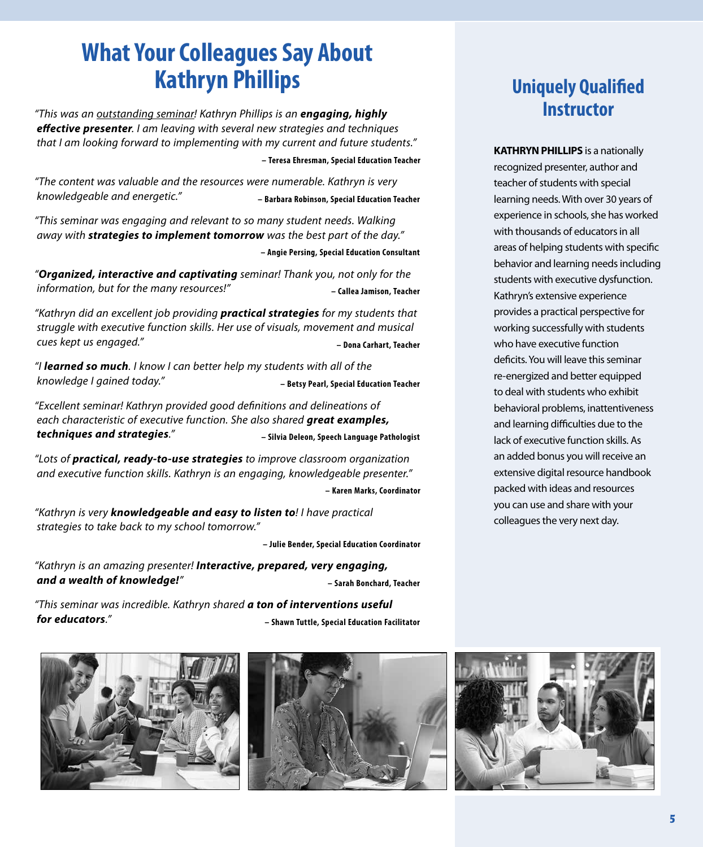# **What Your Colleagues Say About Kathryn Phillips**

*"This was an outstanding seminar! Kathryn Phillips is an engaging, highly effective presenter. I am leaving with several new strategies and techniques that I am looking forward to implementing with my current and future students."*

**– Teresa Ehresman, Special Education Teacher**

*"The content was valuable and the resources were numerable. Kathryn is very knowledgeable and energetic."* **– Barbara Robinson, Special Education Teacher**

*"This seminar was engaging and relevant to so many student needs. Walking away with strategies to implement tomorrow was the best part of the day."* **– Angie Persing, Special Education Consultant**

*"Organized, interactive and captivating seminar! Thank you, not only for the information, but for the many resources!"* **Example 2 – Callea Jamison, Teacher** 

*"Kathryn did an excellent job providing practical strategies for my students that struggle with executive function skills. Her use of visuals, movement and musical cues kept us engaged."* **– Dona Carhart, Teacher**

*"I learned so much. I know I can better help my students with all of the knowledge I gained today."* **– Betsy Pearl, Special Education Teacher**

*"Excellent seminar! Kathryn provided good definitions and delineations of each characteristic of executive function. She also shared great examples, techniques and strategies."* **– Silvia Deleon, Speech Language Pathologist**

*"Lots of practical, ready-to-use strategies to improve classroom organization and executive function skills. Kathryn is an engaging, knowledgeable presenter."*

**– Karen Marks, Coordinator**

*"Kathryn is very knowledgeable and easy to listen to! I have practical strategies to take back to my school tomorrow."*

**– Julie Bender, Special Education Coordinator**

*"Kathryn is an amazing presenter! Interactive, prepared, very engaging, and a wealth of knowledge!"* **– Sarah Bonchard, Teacher**

*"This seminar was incredible. Kathryn shared a ton of interventions useful for educators."* **– Shawn Tuttle, Special Education Facilitator**





# **Uniquely Qualified Instructor**

**KATHRYN PHILLIPS** is a nationally recognized presenter, author and teacher of students with special learning needs. With over 30 years of experience in schools, she has worked with thousands of educators in all areas of helping students with specific behavior and learning needs including students with executive dysfunction. Kathryn's extensive experience provides a practical perspective for working successfully with students who have executive function deficits. You will leave this seminar re‑energized and better equipped to deal with students who exhibit behavioral problems, inattentiveness and learning difficulties due to the lack of executive function skills. As an added bonus you will receive an extensive digital resource handbook packed with ideas and resources you can use and share with your colleagues the very next day.

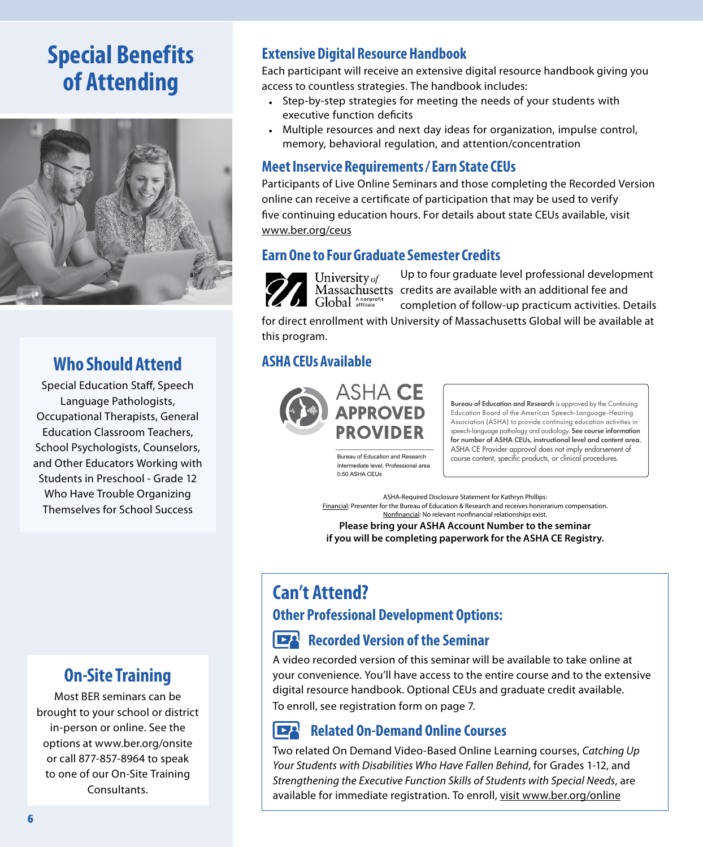# **Special Benefits of Attending**



### **Who Should Attend**

Special Education Staff, Speech Language Pathologists, Occupational Therapists, General Education Classroom Teachers, School Psychologists, Counselors, and Other Educators Working with Students in Preschool - Grade 12 Who Have Trouble Organizing Themselves for School Success

### **On-Site Training**

Most BER seminars can be brought to your school or district in-person or online. See the options at www.ber.org/onsite or call 877‑857‑8964 to speak to one of our On‑Site Training Consultants.

### **Extensive Digital Resource Handbook**

Each participant will receive an extensive digital resource handbook giving you access to countless strategies. The handbook includes:

- Step-by-step strategies for meeting the needs of your students with executive function deficits
- Multiple resources and next day ideas for organization, impulse control, memory, behavioral regulation, and attention/concentration

### **Meet Inservice Requirements / Earn State CEUs**

Participants of Live Online Seminars and those completing the Recorded Version online can receive a certificate of participation that may be used to verify five continuing education hours. For details about state CEUs available, visit www.ber.org/ceus

### **Earn One to Four Graduate Semester Credits**

University of Global Anonprofi

Up to four graduate level professional development Massachusetts credits are available with an additional fee and completion of follow‑up practicum activities. Details

for direct enrollment with University of Massachusetts Global will be available at this program.

### **ASHA CEUs Available**



Bureau of Education and Research is approved by the Continuing Education Board of the American Speech-Language-Hearing Association (ASHA) to provide continuing education activities in speech-language pathology and audiology. See course information for number of ASHA CEUs, instructional level and content area. ASHA CE Provider approval does not imply endorsement of Bureau of Education and Research course content, specific products, or clinical procedures.

Intermediate level, Professional area 0.50 ASHA CEUs

ASHA-Required Disclosure Statement for Kathryn Phillips: Financial: Presenter for the Bureau of Education & Research and receives honorarium compensation. Nonfinancial: No relevant nonfinancial relationships exist.

**Please bring your ASHA Account Number to the seminar if you will be completing paperwork for the ASHA CE Registry.**

# **Can't Attend?**

### **Other Professional Development Options:**

### **Recorded Version of the Seminar**

A video recorded version of this seminar will be available to take online at your convenience. You'll have access to the entire course and to the extensive digital resource handbook. Optional CEUs and graduate credit available. To enroll, see registration form on page 7.

#### $\mathbf{E}^{\mathbf{Q}}$ **Related On-Demand Online Courses**

Two related On Demand Video-Based Online Learning courses, *Catching Up Your Students with Disabilities Who Have Fallen Behind*, for Grades 1-12, and *Strengthening the Executive Function Skills of Students with Special Needs*, are available for immediate registration. To enroll, visit www.ber.org/online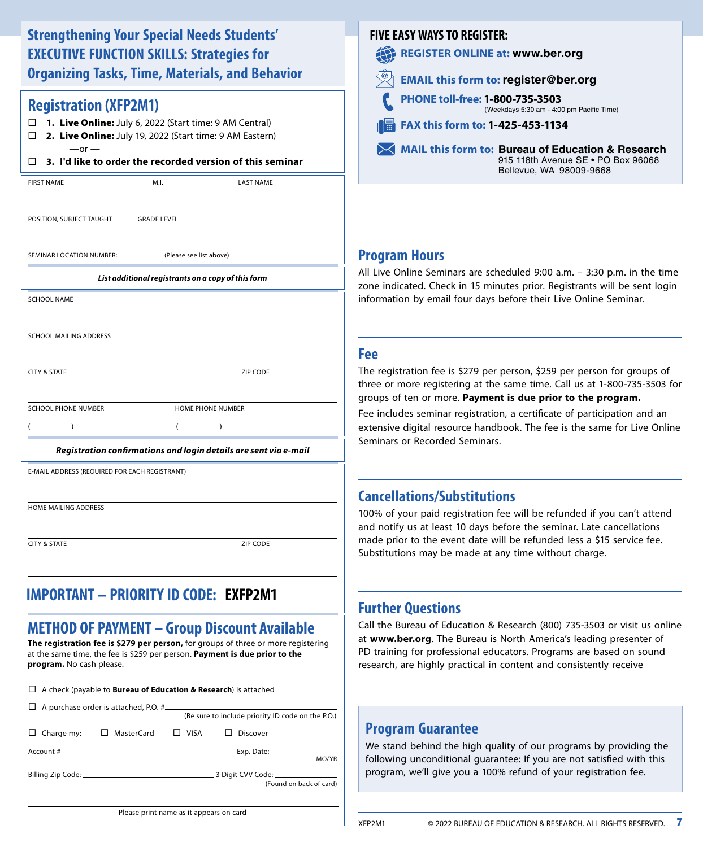### **Strengthening Your Special Needs Students' EXECUTIVE FUNCTION SKILLS: Strategies for Organizing Tasks, Time, Materials, and Behavior**

### **Registration (XFP2M1)**

- **1.** Live Online**:** July 6, 2022 (Start time: 9 AM Central)
- **2.** Live Online**:** July 19, 2022 (Start time: 9 AM Eastern)  $-$ or  $-$

#### **3. I'd like to order the recorded version of this seminar**

| <b>FIRST NAME</b> | M.l | <b>LAST NAME</b> |
|-------------------|-----|------------------|
|                   |     |                  |

**POSITION, SUBJECT TAUGHT GRADE LEVEL** 

SEMINAR LOCATION NUMBER: \_\_\_\_\_\_\_\_\_\_\_\_\_\_ (Please see list above)

#### *List additional registrants on a copy of this form*

| <b>SCHOOL NAME</b>         |                          |
|----------------------------|--------------------------|
| SCHOOL MAILING ADDRESS     |                          |
| <b>CITY &amp; STATE</b>    | <b>ZIP CODE</b>          |
| <b>SCHOOL PHONE NUMBER</b> | <b>HOME PHONE NUMBER</b> |
|                            |                          |

#### *Registration confirmations and login details are sent via e-mail*

E-MAIL ADDRESS (REQUIRED FOR EACH REGISTRANT)

HOME MAILING ADDRESS

CITY & STATE ZIP CODE

#### **IMPORTANT - PRIORITY ID CODE IMPORTANT – PRIORITY ID CODE: EXFP2M1**

### **METHOD OF PAYMENT – Group Discount Available**

**The registration fee is \$279 per person,** for groups of three or more registering at the same time, the fee is \$259 per person. **Payment is due prior to the program.** No cash please.

| $\Box$ A check (payable to <b>Bureau of Education &amp; Research</b> ) is attached |                                                |  |                                                   |                         |  |
|------------------------------------------------------------------------------------|------------------------------------------------|--|---------------------------------------------------|-------------------------|--|
|                                                                                    |                                                |  | (Be sure to include priority ID code on the P.O.) |                         |  |
|                                                                                    | Charge my: $\square$ MasterCard $\square$ VISA |  | Discover                                          |                         |  |
|                                                                                    |                                                |  |                                                   | MO/YR                   |  |
|                                                                                    |                                                |  | .3 Digit CVV Code: ______________                 | (Found on back of card) |  |
| Please print name as it appears on card                                            |                                                |  |                                                   |                         |  |

### **FIVE EASY WAYS TO REGISTER:**

**REGISTER ONLINE at: www.ber.org** 42

**FAX this form to: 1‑425‑453‑1134 PHONE toll‑free: 1‑800‑735‑3503**  (Weekdays 5:30 am ‑ 4:00 pm Pacific Time) **EMAIL this form to: register@ber.org**

**MAIL this form to: Bureau of Education & Research** 915 118th Avenue SE • PO Box 96068 Bellevue, WA 98009‑9668

### **Program Hours**

All Live Online Seminars are scheduled 9:00 a.m. – 3:30 p.m. in the time zone indicated. Check in 15 minutes prior. Registrants will be sent login information by email four days before their Live Online Seminar.

### **Fee**

The registration fee is \$279 per person, \$259 per person for groups of three or more registering at the same time. Call us at 1-800-735-3503 for groups of ten or more. **Payment is due prior to the program.**

Fee includes seminar registration, a certificate of participation and an extensive digital resource handbook. The fee is the same for Live Online Seminars or Recorded Seminars.

### **Cancellations/Substitutions**

100% of your paid registration fee will be refunded if you can't attend and notify us at least 10 days before the seminar. Late cancellations made prior to the event date will be refunded less a \$15 service fee. Substitutions may be made at any time without charge.

### **Further Questions**

Call the Bureau of Education & Research (800) 735‑3503 or visit us online at **www.ber.org**. The Bureau is North America's leading presenter of PD training for professional educators. Programs are based on sound research, are highly practical in content and consistently receive

### **Program Guarantee**

We stand behind the high quality of our programs by providing the following unconditional guarantee: If you are not satisfied with this program, we'll give you a 100% refund of your registration fee.